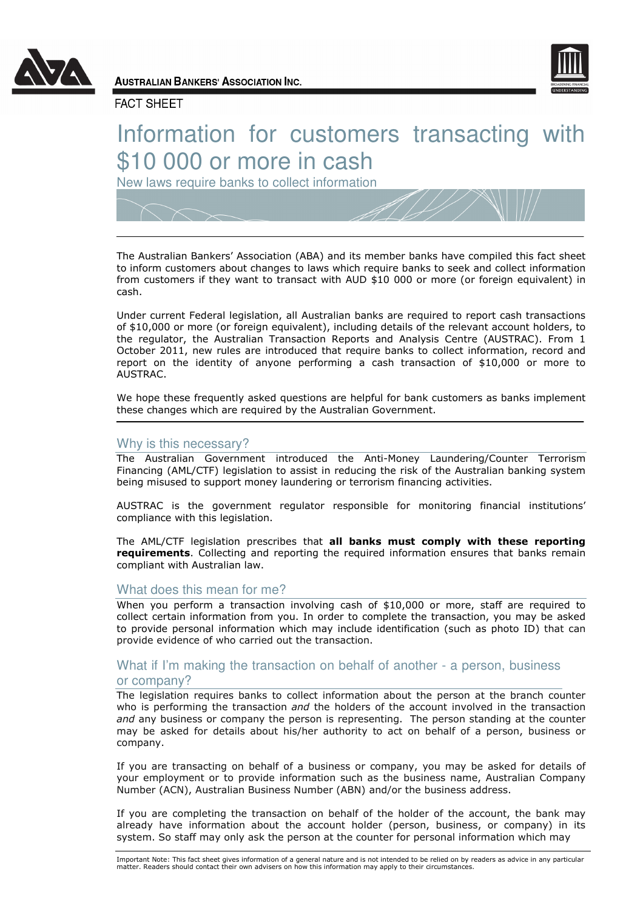



**AUSTRALIAN BANKERS' ASSOCIATION INC.** 

# **FACT SHEET**

# Information for customers transacting with \$10 000 or more in cash

New laws require banks to collect information

The Australian Bankers' Association (ABA) and its member banks have compiled this fact sheet to inform customers about changes to laws which require banks to seek and collect information from customers if they want to transact with AUD \$10 000 or more (or foreign equivalent) in cash.

Under current Federal legislation, all Australian banks are required to report cash transactions of \$10,000 or more (or foreign equivalent), including details of the relevant account holders, to the regulator, the Australian Transaction Reports and Analysis Centre (AUSTRAC). From 1 October 2011, new rules are introduced that require banks to collect information, record and report on the identity of anyone performing a cash transaction of \$10,000 or more to AUSTRAC.

We hope these frequently asked questions are helpful for bank customers as banks implement these changes which are required by the Australian Government.

## Why is this necessary?

The Australian Government introduced the Anti-Money Laundering/Counter Terrorism Financing (AML/CTF) legislation to assist in reducing the risk of the Australian banking system being misused to support money laundering or terrorism financing activities.

AUSTRAC is the government regulator responsible for monitoring financial institutions' compliance with this legislation.

The AML/CTF legislation prescribes that all banks must comply with these reporting **requirements.** Collecting and reporting the required information ensures that banks remain compliant with Australian law.

## What does this mean for me?

When you perform a transaction involving cash of \$10,000 or more, staff are required to collect certain information from you. In order to complete the transaction, you may be asked to provide personal information which may include identification (such as photo ID) that can provide evidence of who carried out the transaction.

# What if I'm making the transaction on behalf of another - a person, business or company?

The legislation requires banks to collect information about the person at the branch counter who is performing the transaction and the holders of the account involved in the transaction and any business or company the person is representing. The person standing at the counter may be asked for details about his/her authority to act on behalf of a person, business or company.

If you are transacting on behalf of a business or company, you may be asked for details of your employment or to provide information such as the business name, Australian Company Number (ACN), Australian Business Number (ABN) and/or the business address.

If you are completing the transaction on behalf of the holder of the account, the bank may already have information about the account holder (person, business, or company) in its system. So staff may only ask the person at the counter for personal information which may